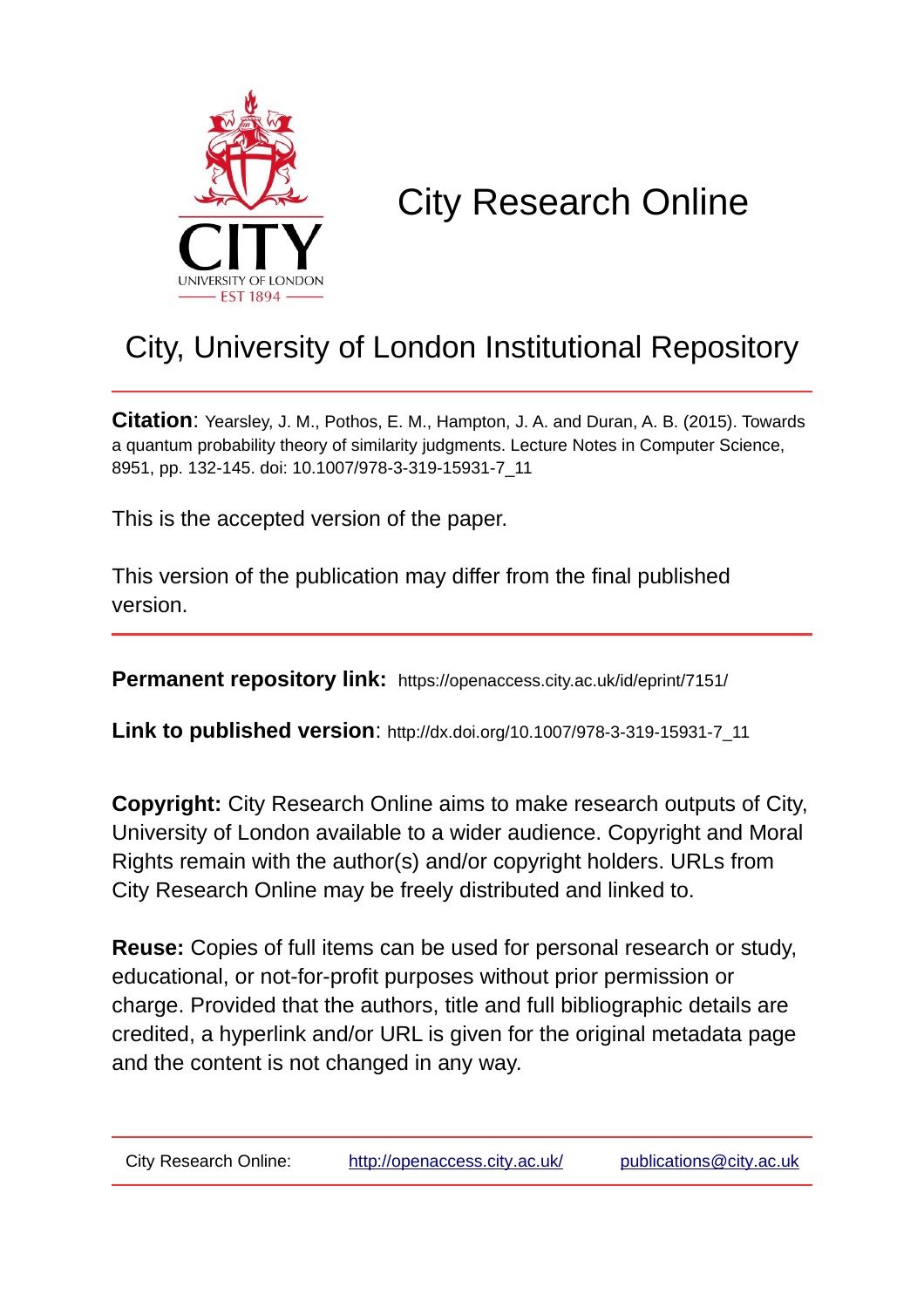

# City Research Online

# City, University of London Institutional Repository

**Citation**: Yearsley, J. M., Pothos, E. M., Hampton, J. A. and Duran, A. B. (2015). Towards a quantum probability theory of similarity judgments. Lecture Notes in Computer Science, 8951, pp. 132-145. doi: 10.1007/978-3-319-15931-7\_11

This is the accepted version of the paper.

This version of the publication may differ from the final published version.

**Permanent repository link:** https://openaccess.city.ac.uk/id/eprint/7151/

**Link to published version**: http://dx.doi.org/10.1007/978-3-319-15931-7\_11

**Copyright:** City Research Online aims to make research outputs of City, University of London available to a wider audience. Copyright and Moral Rights remain with the author(s) and/or copyright holders. URLs from City Research Online may be freely distributed and linked to.

**Reuse:** Copies of full items can be used for personal research or study, educational, or not-for-profit purposes without prior permission or charge. Provided that the authors, title and full bibliographic details are credited, a hyperlink and/or URL is given for the original metadata page and the content is not changed in any way.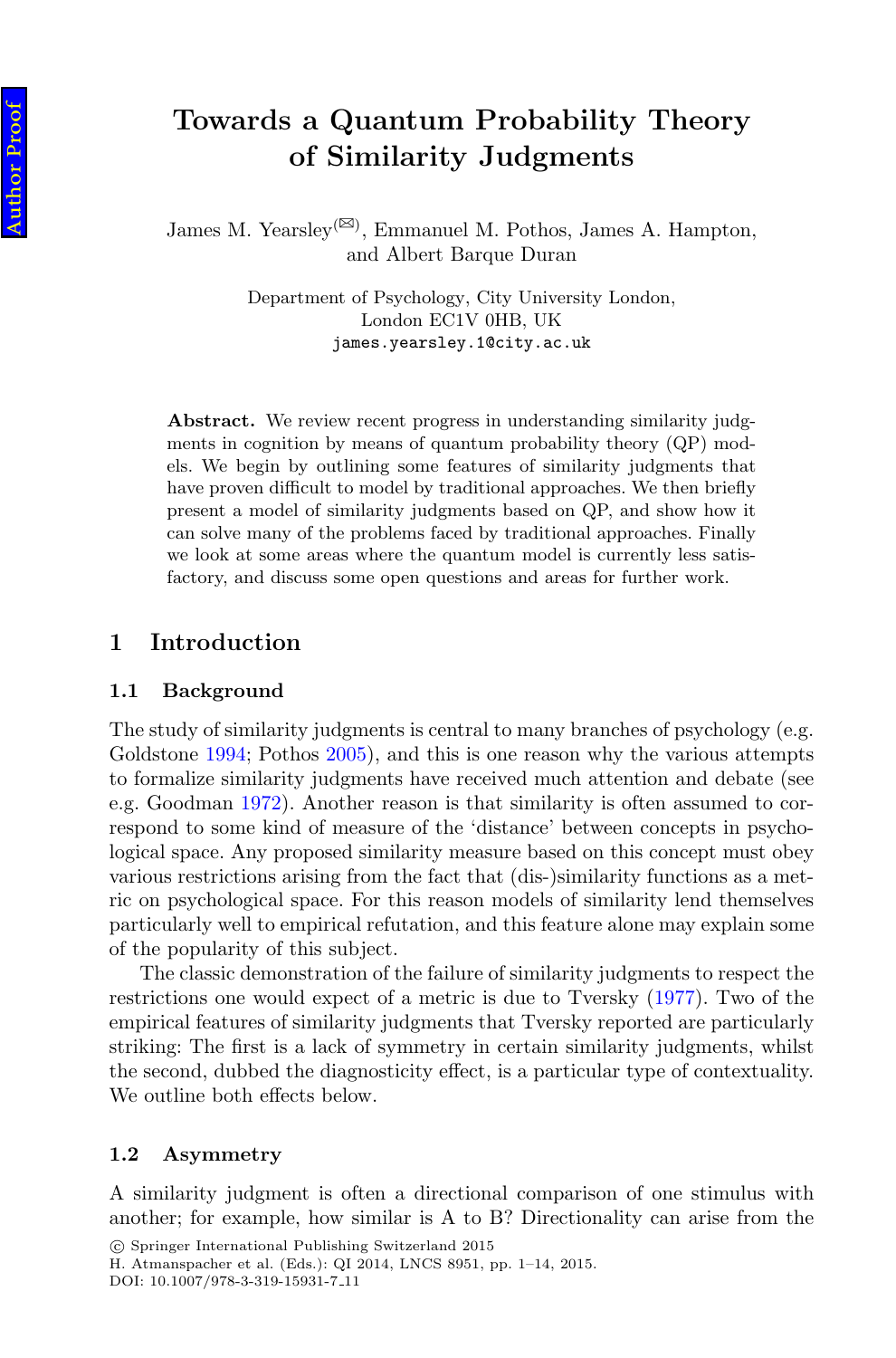# **Towards a Quantum Probability Theory of Similarity Judgments**

James M. Yearsley<sup>( $\boxtimes$ )</sup>, Emmanuel M. Pothos, James A. Hampton, and Albert Barque Duran

> Department of Psychology, City University London, London EC1V 0HB, UK james.yearsley.1@city.ac.uk

**Abstract.** We review recent progress in understanding similarity judgments in cognition by means of quantum probability theory (QP) models. We begin by outlining some features of similarity judgments that have proven difficult to model by traditional approaches. We then briefly present a model of similarity judgments based on QP, and show how it can solve many of the problems faced by traditional approaches. Finally we look at some areas where the quantum model is currently less satisfactory, and discuss some open questions and areas for further work.

## **1 Introduction**

#### **1.1 Background**

The study of similarity judgments is central to many branches of psychology (e.g. Goldstone [1994;](#page-14-0) Pothos [2005\)](#page-14-1), and this is one reason why the various attempts to formalize similarity judgments have received much attention and debate (see e.g. Goodman [1972](#page-14-2)). Another reason is that similarity is often assumed to correspond to some kind of measure of the 'distance' between concepts in psychological space. Any proposed similarity measure based on this concept must obey various restrictions arising from the fact that (dis-)similarity functions as a metric on psychological space. For this reason models of similarity lend themselves particularly well to empirical refutation, and this feature alone may explain some of the popularity of this subject.

The classic demonstration of the failure of similarity judgments to respect the restrictions one would expect of a metric is due to Tversky [\(1977\)](#page-14-3). Two of the empirical features of similarity judgments that Tversky reported are particularly striking: The first is a lack of symmetry in certain similarity judgments, whilst the second, dubbed the diagnosticity effect, is a particular type of contextuality. We outline both effects below.

#### **1.2 Asymmetry**

A similarity judgment is often a directional comparison of one stimulus with another; for example, how similar is A to B? Directionality can arise from the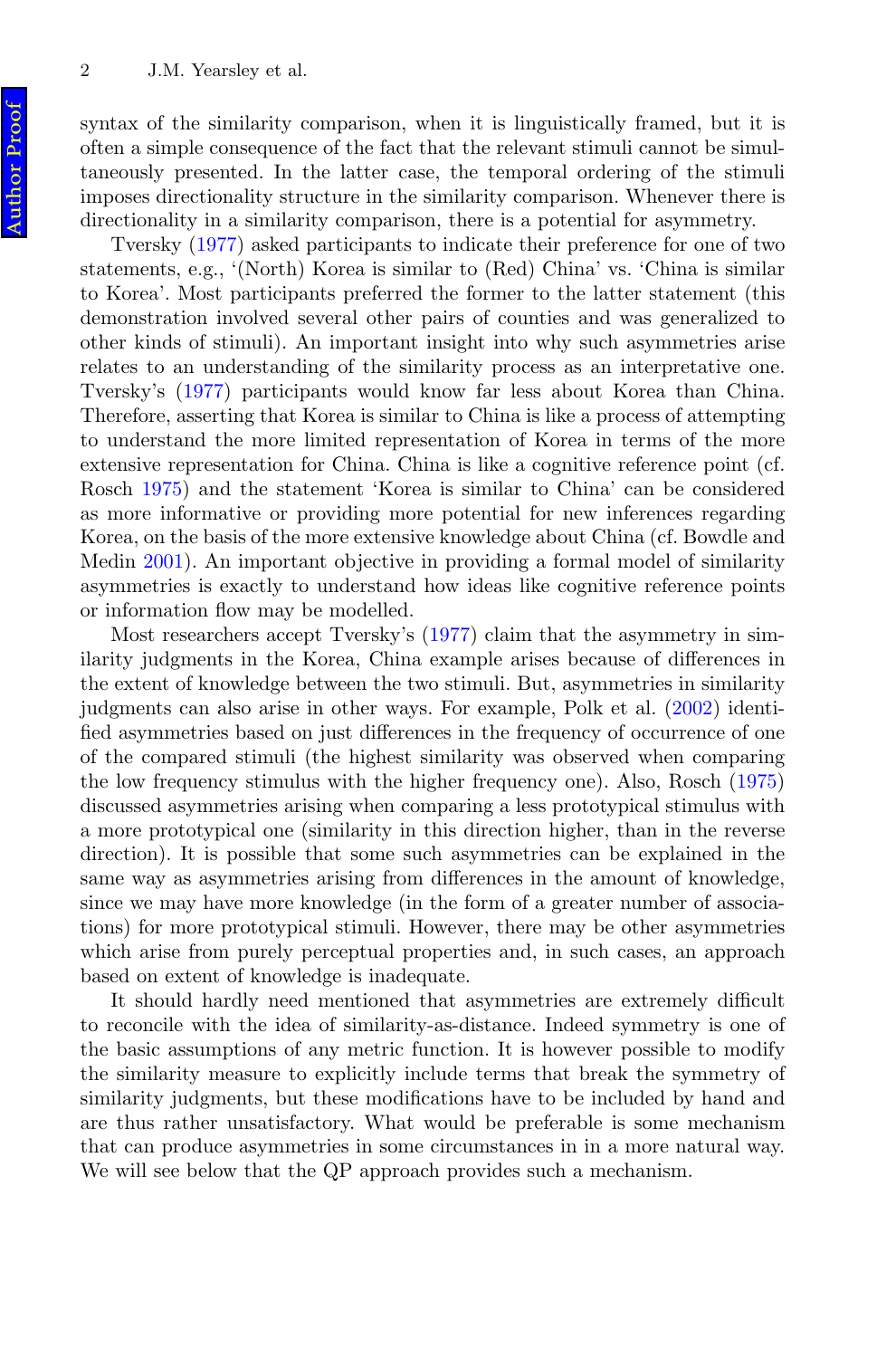syntax of the similarity comparison, when it is linguistically framed, but it is often a simple consequence of the fact that the relevant stimuli cannot be simultaneously presented. In the latter case, the temporal ordering of the stimuli imposes directionality structure in the similarity comparison. Whenever there is directionality in a similarity comparison, there is a potential for asymmetry.

Tversky [\(1977](#page-14-3)) asked participants to indicate their preference for one of two statements, e.g., '(North) Korea is similar to (Red) China' vs. 'China is similar to Korea'. Most participants preferred the former to the latter statement (this demonstration involved several other pairs of counties and was generalized to other kinds of stimuli). An important insight into why such asymmetries arise relates to an understanding of the similarity process as an interpretative one. Tversky's [\(1977\)](#page-14-3) participants would know far less about Korea than China. Therefore, asserting that Korea is similar to China is like a process of attempting to understand the more limited representation of Korea in terms of the more extensive representation for China. China is like a cognitive reference point (cf. Rosch [1975](#page-14-4)) and the statement 'Korea is similar to China' can be considered as more informative or providing more potential for new inferences regarding Korea, on the basis of the more extensive knowledge about China (cf. Bowdle and Medin [2001](#page-13-0)). An important objective in providing a formal model of similarity asymmetries is exactly to understand how ideas like cognitive reference points or information flow may be modelled.

Most researchers accept Tversky's [\(1977\)](#page-14-3) claim that the asymmetry in similarity judgments in the Korea, China example arises because of differences in the extent of knowledge between the two stimuli. But, asymmetries in similarity judgments can also arise in other ways. For example, Polk et al. [\(2002\)](#page-14-5) identified asymmetries based on just differences in the frequency of occurrence of one of the compared stimuli (the highest similarity was observed when comparing the low frequency stimulus with the higher frequency one). Also, Rosch [\(1975](#page-14-4)) discussed asymmetries arising when comparing a less prototypical stimulus with a more prototypical one (similarity in this direction higher, than in the reverse direction). It is possible that some such asymmetries can be explained in the same way as asymmetries arising from differences in the amount of knowledge, since we may have more knowledge (in the form of a greater number of associations) for more prototypical stimuli. However, there may be other asymmetries which arise from purely perceptual properties and, in such cases, an approach based on extent of knowledge is inadequate.

It should hardly need mentioned that asymmetries are extremely difficult to reconcile with the idea of similarity-as-distance. Indeed symmetry is one of the basic assumptions of any metric function. It is however possible to modify the similarity measure to explicitly include terms that break the symmetry of similarity judgments, but these modifications have to be included by hand and are thus rather unsatisfactory. What would be preferable is some mechanism that can produce asymmetries in some circumstances in in a more natural way. We will see below that the QP approach provides such a mechanism.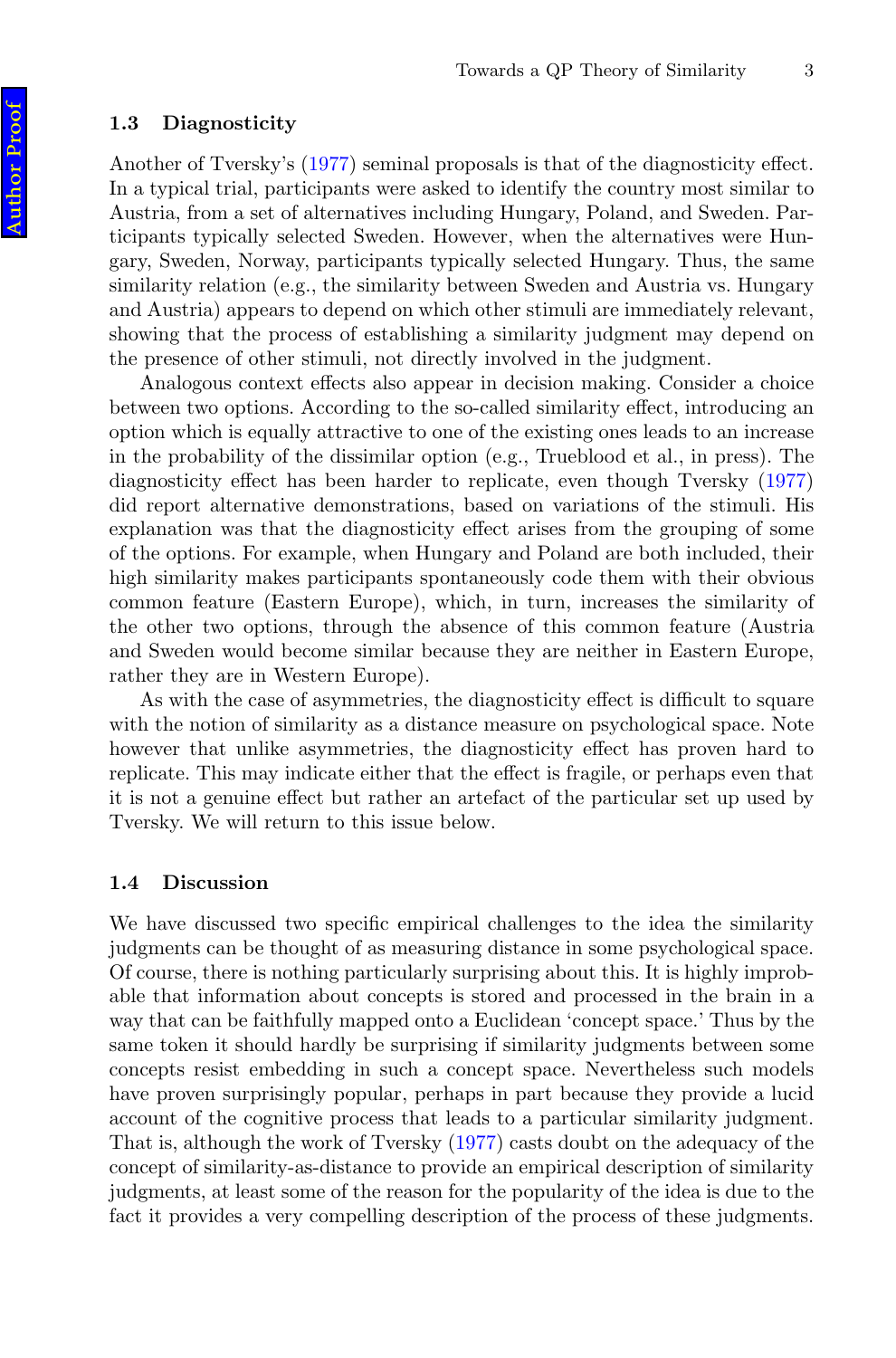#### **1.3 Diagnosticity**

Another of Tversky's [\(1977](#page-14-3)) seminal proposals is that of the diagnosticity effect. In a typical trial, participants were asked to identify the country most similar to Austria, from a set of alternatives including Hungary, Poland, and Sweden. Participants typically selected Sweden. However, when the alternatives were Hungary, Sweden, Norway, participants typically selected Hungary. Thus, the same similarity relation (e.g., the similarity between Sweden and Austria vs. Hungary and Austria) appears to depend on which other stimuli are immediately relevant, showing that the process of establishing a similarity judgment may depend on the presence of other stimuli, not directly involved in the judgment.

Analogous context effects also appear in decision making. Consider a choice between two options. According to the so-called similarity effect, introducing an option which is equally attractive to one of the existing ones leads to an increase in the probability of the dissimilar option (e.g., Trueblood et al., in press). The diagnosticity effect has been harder to replicate, even though Tversky [\(1977\)](#page-14-3) did report alternative demonstrations, based on variations of the stimuli. His explanation was that the diagnosticity effect arises from the grouping of some of the options. For example, when Hungary and Poland are both included, their high similarity makes participants spontaneously code them with their obvious common feature (Eastern Europe), which, in turn, increases the similarity of the other two options, through the absence of this common feature (Austria and Sweden would become similar because they are neither in Eastern Europe, rather they are in Western Europe).

As with the case of asymmetries, the diagnosticity effect is difficult to square with the notion of similarity as a distance measure on psychological space. Note however that unlike asymmetries, the diagnosticity effect has proven hard to replicate. This may indicate either that the effect is fragile, or perhaps even that it is not a genuine effect but rather an artefact of the particular set up used by Tversky. We will return to this issue below.

#### **1.4 Discussion**

We have discussed two specific empirical challenges to the idea the similarity judgments can be thought of as measuring distance in some psychological space. Of course, there is nothing particularly surprising about this. It is highly improbable that information about concepts is stored and processed in the brain in a way that can be faithfully mapped onto a Euclidean 'concept space.' Thus by the same token it should hardly be surprising if similarity judgments between some concepts resist embedding in such a concept space. Nevertheless such models have proven surprisingly popular, perhaps in part because they provide a lucid account of the cognitive process that leads to a particular similarity judgment. That is, although the work of Tversky [\(1977](#page-14-3)) casts doubt on the adequacy of the concept of similarity-as-distance to provide an empirical description of similarity judgments, at least some of the reason for the popularity of the idea is due to the fact it provides a very compelling description of the process of these judgments.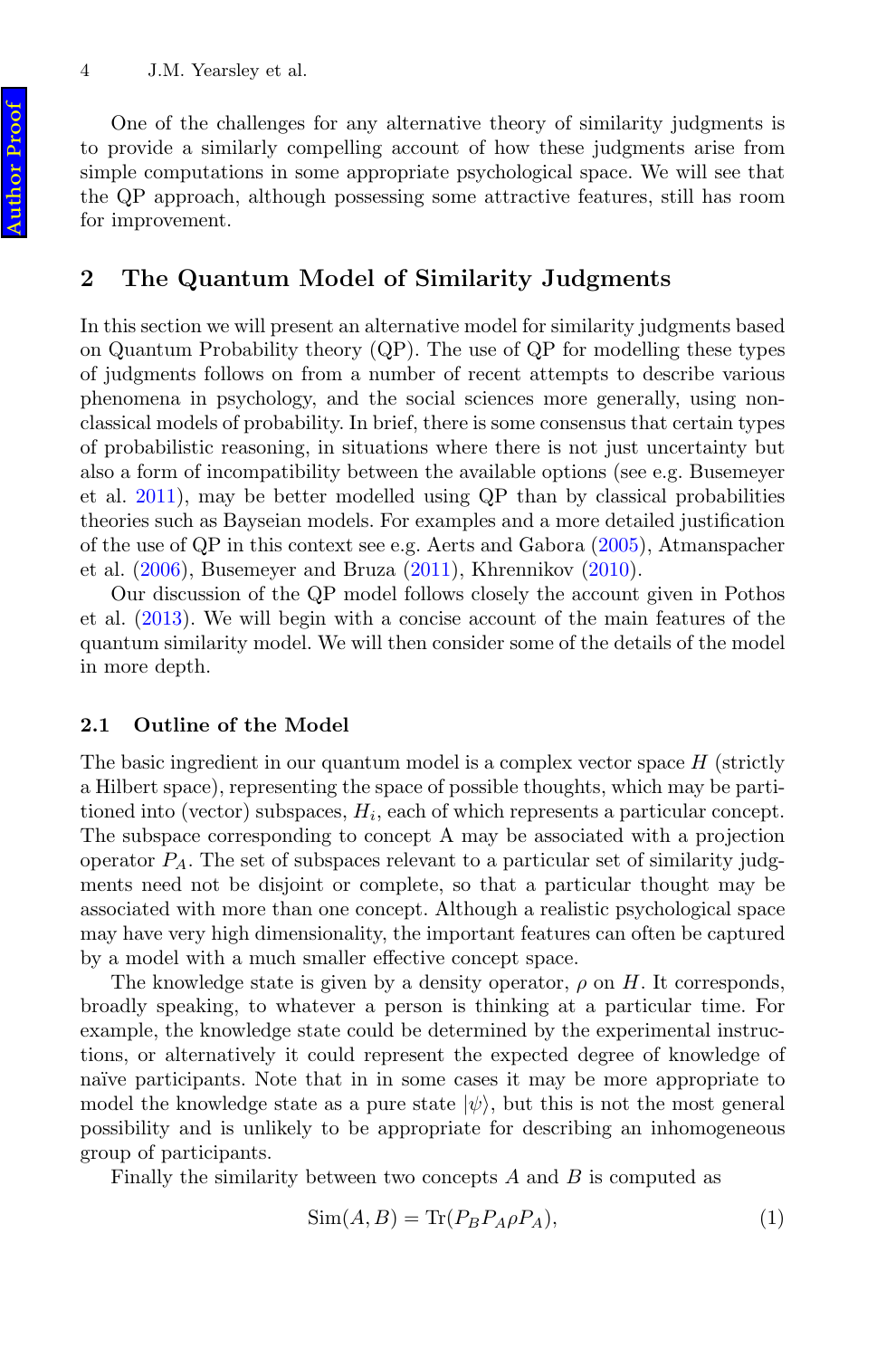One of the challenges for any alternative theory of similarity judgments is to provide a similarly compelling account of how these judgments arise from simple computations in some appropriate psychological space. We will see that the QP approach, although possessing some attractive features, still has room for improvement.

#### **2 The Quantum Model of Similarity Judgments**

In this section we will present an alternative model for similarity judgments based on Quantum Probability theory (QP). The use of QP for modelling these types of judgments follows on from a number of recent attempts to describe various phenomena in psychology, and the social sciences more generally, using nonclassical models of probability. In brief, there is some consensus that certain types of probabilistic reasoning, in situations where there is not just uncertainty but also a form of incompatibility between the available options (see e.g. Busemeyer et al. [2011](#page-14-6)), may be better modelled using QP than by classical probabilities theories such as Bayseian models. For examples and a more detailed justification of the use of QP in this context see e.g. Aerts and Gabora [\(2005](#page-13-1)), Atmanspacher et al. [\(2006\)](#page-13-2), Busemeyer and Bruza [\(2011](#page-14-7)), Khrennikov [\(2010\)](#page-14-8).

Our discussion of the QP model follows closely the account given in Pothos et al. [\(2013](#page-14-9)). We will begin with a concise account of the main features of the quantum similarity model. We will then consider some of the details of the model in more depth.

#### **2.1 Outline of the Model**

The basic ingredient in our quantum model is a complex vector space  $H$  (strictly a Hilbert space), representing the space of possible thoughts, which may be partitioned into (vector) subspaces,  $H_i$ , each of which represents a particular concept. The subspace corresponding to concept A may be associated with a projection operator  $P_A$ . The set of subspaces relevant to a particular set of similarity judgments need not be disjoint or complete, so that a particular thought may be associated with more than one concept. Although a realistic psychological space may have very high dimensionality, the important features can often be captured by a model with a much smaller effective concept space.

The knowledge state is given by a density operator,  $\rho$  on H. It corresponds, broadly speaking, to whatever a person is thinking at a particular time. For example, the knowledge state could be determined by the experimental instructions, or alternatively it could represent the expected degree of knowledge of naïve participants. Note that in in some cases it may be more appropriate to model the knowledge state as a pure state  $|\psi\rangle$ , but this is not the most general possibility and is unlikely to be appropriate for describing an inhomogeneous group of participants.

Finally the similarity between two concepts  $A$  and  $B$  is computed as

$$
Sim(A, B) = Tr(P_B P_A \rho P_A), \tag{1}
$$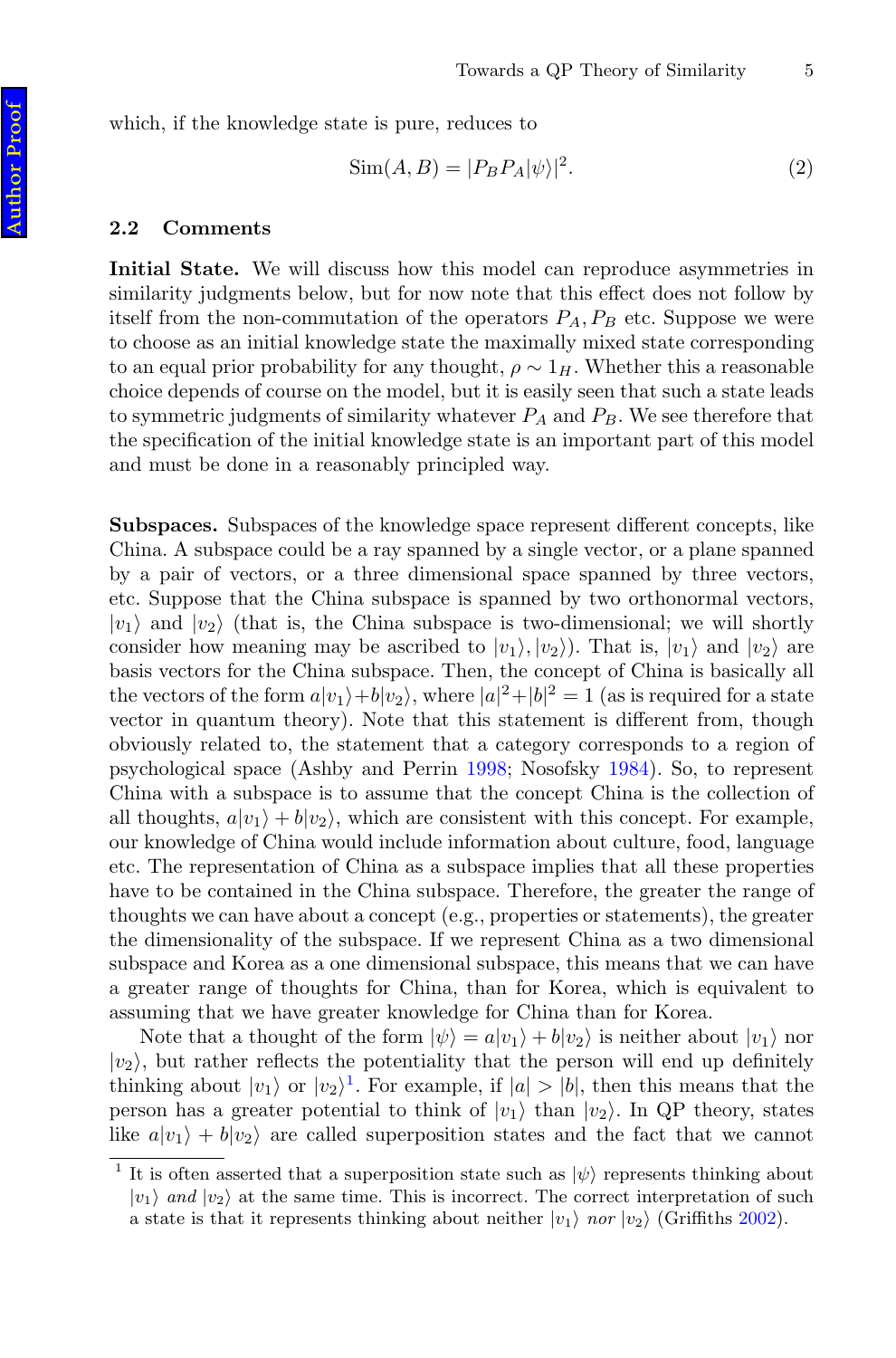which, if the knowledge state is pure, reduces to

$$
\text{Sim}(A, B) = |P_B P_A |\psi\rangle|^2. \tag{2}
$$

#### **2.2 Comments**

**Initial State.** We will discuss how this model can reproduce asymmetries in similarity judgments below, but for now note that this effect does not follow by itself from the non-commutation of the operators  $P_A$ ,  $P_B$  etc. Suppose we were to choose as an initial knowledge state the maximally mixed state corresponding to an equal prior probability for any thought,  $\rho \sim 1_H$ . Whether this a reasonable choice depends of course on the model, but it is easily seen that such a state leads to symmetric judgments of similarity whatever  $P_A$  and  $P_B$ . We see therefore that the specification of the initial knowledge state is an important part of this model and must be done in a reasonably principled way.

**Subspaces.** Subspaces of the knowledge space represent different concepts, like China. A subspace could be a ray spanned by a single vector, or a plane spanned by a pair of vectors, or a three dimensional space spanned by three vectors, etc. Suppose that the China subspace is spanned by two orthonormal vectors,  $|v_1\rangle$  and  $|v_2\rangle$  (that is, the China subspace is two-dimensional; we will shortly consider how meaning may be ascribed to  $|v_1\rangle, |v_2\rangle$ ). That is,  $|v_1\rangle$  and  $|v_2\rangle$  are basis vectors for the China subspace. Then, the concept of China is basically all the vectors of the form  $a|v_1\rangle+b|v_2\rangle$ , where  $|a|^2+|b|^2=1$  (as is required for a state vector in quantum theory). Note that this statement is different from, though obviously related to, the statement that a category corresponds to a region of psychological space (Ashby and Perrin [1998;](#page-13-3) Nosofsky [1984\)](#page-14-10). So, to represent China with a subspace is to assume that the concept China is the collection of all thoughts,  $a|v_1\rangle + b|v_2\rangle$ , which are consistent with this concept. For example, our knowledge of China would include information about culture, food, language etc. The representation of China as a subspace implies that all these properties have to be contained in the China subspace. Therefore, the greater the range of thoughts we can have about a concept (e.g., properties or statements), the greater the dimensionality of the subspace. If we represent China as a two dimensional subspace and Korea as a one dimensional subspace, this means that we can have a greater range of thoughts for China, than for Korea, which is equivalent to assuming that we have greater knowledge for China than for Korea.

Note that a thought of the form  $|\psi\rangle = a|v_1\rangle + b|v_2\rangle$  is neither about  $|v_1\rangle$  nor  $|v_2\rangle$ , but rather reflects the potentiality that the person will end up definitely thinking about  $|v_1\rangle$  $|v_1\rangle$  $|v_1\rangle$  or  $|v_2\rangle^1$ . For example, if  $|a| > |b|$ , then this means that the person has a greater potential to think of  $|v_1\rangle$  than  $|v_2\rangle$ . In QP theory, states like  $a|v_1\rangle + b|v_2\rangle$  are called superposition states and the fact that we cannot

<span id="page-5-0"></span><sup>&</sup>lt;sup>1</sup> It is often asserted that a superposition state such as  $|\psi\rangle$  represents thinking about  $|v_1\rangle$  and  $|v_2\rangle$  at the same time. This is incorrect. The correct interpretation of such a state is that it represents thinking about neither  $|v_1\rangle$  *nor*  $|v_2\rangle$  (Griffiths [2002\)](#page-14-11).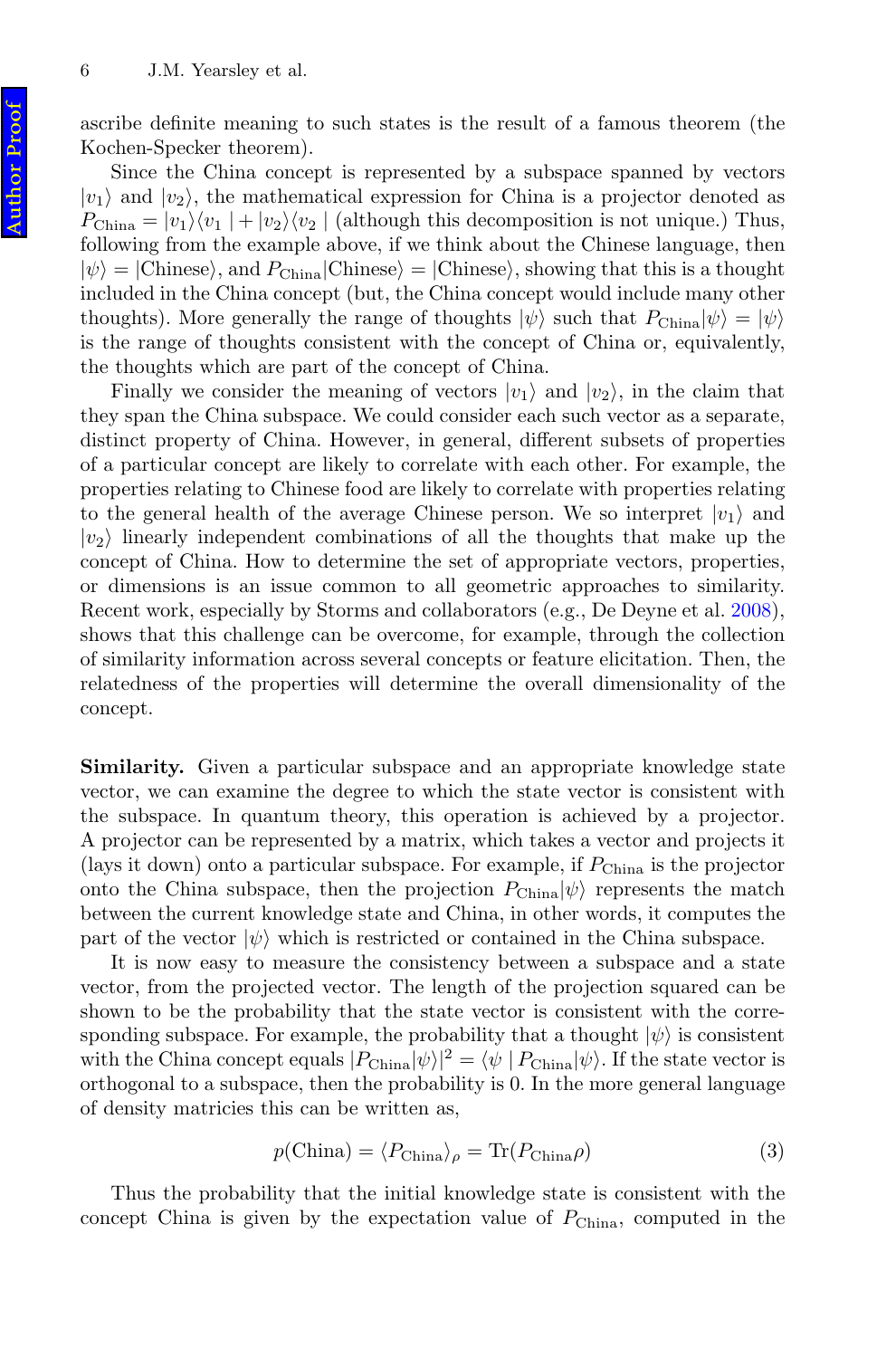ascribe definite meaning to such states is the result of a famous theorem (the Kochen-Specker theorem).

Since the China concept is represented by a subspace spanned by vectors  $|v_1\rangle$  and  $|v_2\rangle$ , the mathematical expression for China is a projector denoted as  $P_{\text{China}} = |v_1\rangle\langle v_1| + |v_2\rangle\langle v_2|$  (although this decomposition is not unique.) Thus, following from the example above, if we think about the Chinese language, then  $|\psi\rangle = |\text{Chinese}\rangle$ , and  $P_{\text{China}}|\text{Chinese}\rangle = |\text{Chinese}\rangle$ , showing that this is a thought included in the China concept (but, the China concept would include many other thoughts). More generally the range of thoughts  $|\psi\rangle$  such that  $P_{\text{China}}|\psi\rangle = |\psi\rangle$ is the range of thoughts consistent with the concept of China or, equivalently, the thoughts which are part of the concept of China.

Finally we consider the meaning of vectors  $|v_1\rangle$  and  $|v_2\rangle$ , in the claim that they span the China subspace. We could consider each such vector as a separate, distinct property of China. However, in general, different subsets of properties of a particular concept are likely to correlate with each other. For example, the properties relating to Chinese food are likely to correlate with properties relating to the general health of the average Chinese person. We so interpret  $|v_1\rangle$  and  $|v_2\rangle$  linearly independent combinations of all the thoughts that make up the concept of China. How to determine the set of appropriate vectors, properties, or dimensions is an issue common to all geometric approaches to similarity. Recent work, especially by Storms and collaborators (e.g., De Deyne et al. [2008\)](#page-14-12), shows that this challenge can be overcome, for example, through the collection of similarity information across several concepts or feature elicitation. Then, the relatedness of the properties will determine the overall dimensionality of the concept.

**Similarity.** Given a particular subspace and an appropriate knowledge state vector, we can examine the degree to which the state vector is consistent with the subspace. In quantum theory, this operation is achieved by a projector. A projector can be represented by a matrix, which takes a vector and projects it (lays it down) onto a particular subspace. For example, if  $P_{\text{China}}$  is the projector onto the China subspace, then the projection  $P_{\text{China}}|\psi\rangle$  represents the match between the current knowledge state and China, in other words, it computes the part of the vector  $|\psi\rangle$  which is restricted or contained in the China subspace.

It is now easy to measure the consistency between a subspace and a state vector, from the projected vector. The length of the projection squared can be shown to be the probability that the state vector is consistent with the corresponding subspace. For example, the probability that a thought  $|\psi\rangle$  is consistent with the China concept equals  $|P_{\text{China}}|\psi\rangle|^2 = \langle \psi | P_{\text{China}}|\psi\rangle$ . If the state vector is orthogonal to a subspace, then the probability is 0. In the more general language of density matricies this can be written as,

$$
p(\text{China}) = \langle P_{\text{China}} \rangle_{\rho} = \text{Tr}(P_{\text{China}} \rho) \tag{3}
$$

Thus the probability that the initial knowledge state is consistent with the concept China is given by the expectation value of  $P_{\text{China}}$ , computed in the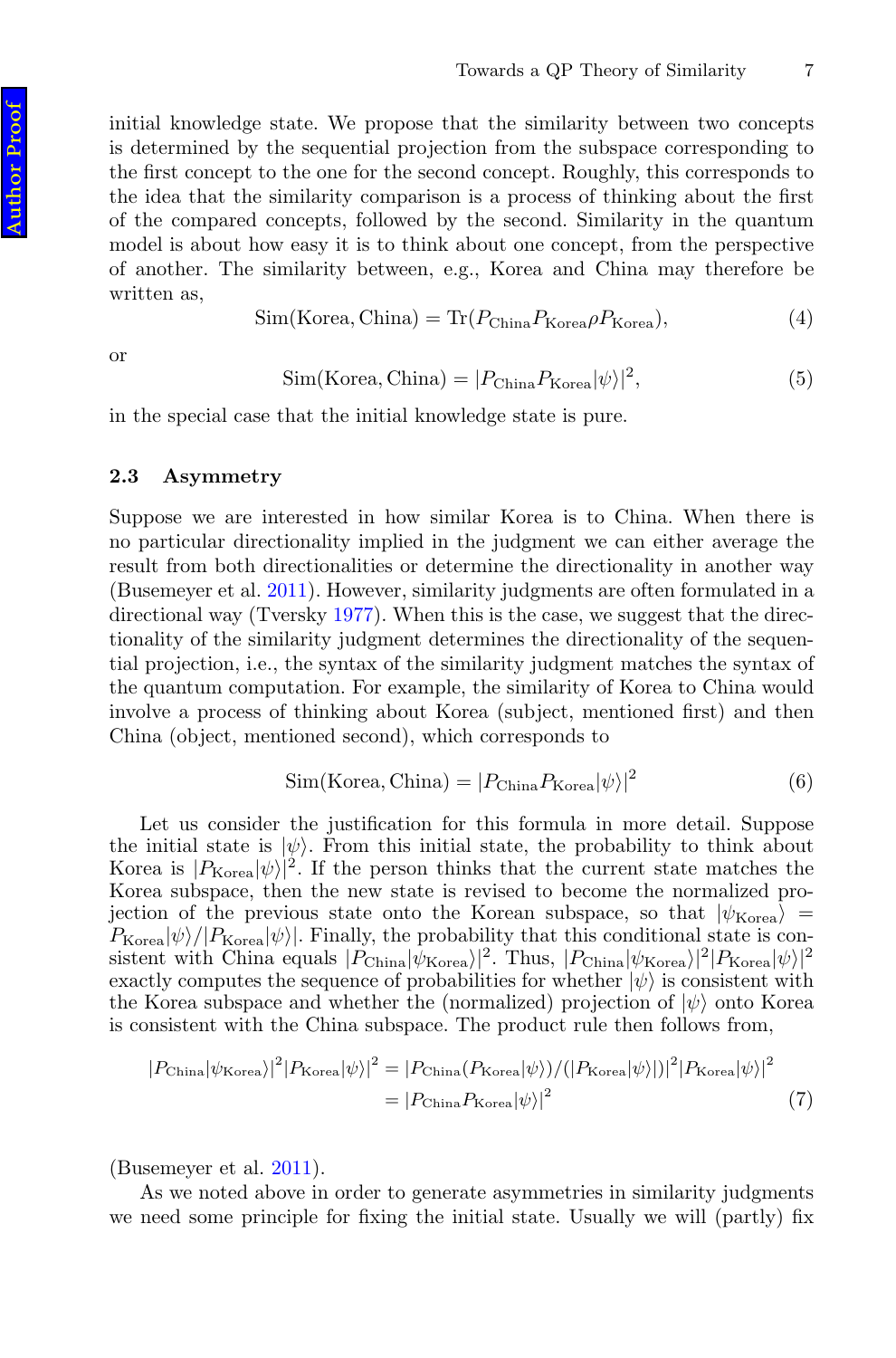initial knowledge state. We propose that the similarity between two concepts is determined by the sequential projection from the subspace corresponding to the first concept to the one for the second concept. Roughly, this corresponds to the idea that the similarity comparison is a process of thinking about the first of the compared concepts, followed by the second. Similarity in the quantum model is about how easy it is to think about one concept, from the perspective of another. The similarity between, e.g., Korea and China may therefore be written as,

$$
Sim(Korea, China) = Tr(P_{China}P_{Korea}P_{Korea}), \qquad (4)
$$

or

$$
\text{Sim}(\text{Korea}, \text{China}) = |P_{\text{China}} P_{\text{Korea}} |\psi\rangle|^2, \tag{5}
$$

in the special case that the initial knowledge state is pure.

#### **2.3 Asymmetry**

Suppose we are interested in how similar Korea is to China. When there is no particular directionality implied in the judgment we can either average the result from both directionalities or determine the directionality in another way (Busemeyer et al. [2011\)](#page-14-6). However, similarity judgments are often formulated in a directional way (Tversky [1977](#page-14-3)). When this is the case, we suggest that the directionality of the similarity judgment determines the directionality of the sequential projection, i.e., the syntax of the similarity judgment matches the syntax of the quantum computation. For example, the similarity of Korea to China would involve a process of thinking about Korea (subject, mentioned first) and then China (object, mentioned second), which corresponds to

$$
Sim(Korea, China) = |P_{China}P_{Korea}|\psi\rangle|^2
$$
\n(6)

<span id="page-7-0"></span>Let us consider the justification for this formula in more detail. Suppose the initial state is  $|\psi\rangle$ . From this initial state, the probability to think about Korea is  $|P_{\text{Korea}}|\psi\rangle|^2$ . If the person thinks that the current state matches the Korea subspace, then the new state is revised to become the normalized projection of the previous state onto the Korean subspace, so that  $|\psi_{\text{Korea}}\rangle$  =  $P_{\text{Korea}}|\psi\rangle/|P_{\text{Korea}}|\psi\rangle.$  Finally, the probability that this conditional state is consistent with China equals  $|P_{\text{China}}|\psi_{\text{Korea}}||^{2}$ . Thus,  $|P_{\text{China}}|\psi_{\text{Korea}}\rangle|^{2}|P_{\text{Korea}}|\psi\rangle|^{2}$ exactly computes the sequence of probabilities for whether  $|\psi\rangle$  is consistent with the Korea subspace and whether the (normalized) projection of  $|\psi\rangle$  onto Korea is consistent with the China subspace. The product rule then follows from,

$$
|P_{\text{China}}|\psi_{\text{Korea}}\rangle|^2 |P_{\text{Korea}}|\psi\rangle|^2 = |P_{\text{China}}(P_{\text{Korea}}|\psi\rangle)/(|P_{\text{Korea}}|\psi\rangle|)^2 |P_{\text{Korea}}|\psi\rangle|^2
$$
  
=  $|P_{\text{China}}P_{\text{Korea}}|\psi\rangle|^2$  (7)

(Busemeyer et al. [2011](#page-14-6)).

As we noted above in order to generate asymmetries in similarity judgments we need some principle for fixing the initial state. Usually we will (partly) fix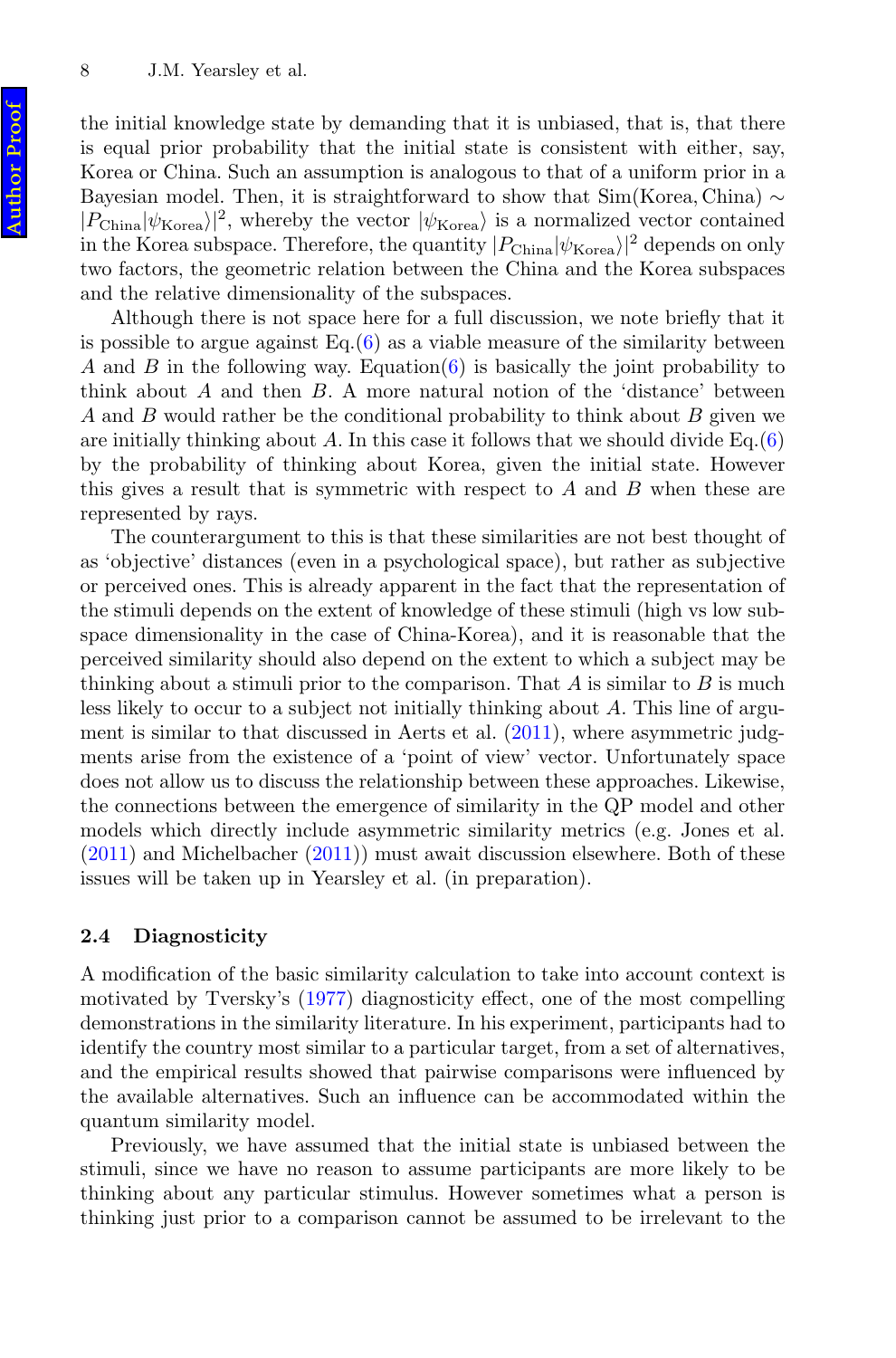the initial knowledge state by demanding that it is unbiased, that is, that there is equal prior probability that the initial state is consistent with either, say, Korea or China. Such an assumption is analogous to that of a uniform prior in a Bayesian model. Then, it is straightforward to show that Sim(Korea, China)  $\sim$  $|P_{\text{China}}|\psi_{\text{Korea}}|^{2}$ , whereby the vector  $|\psi_{\text{Korea}}\rangle$  is a normalized vector contained in the Korea subspace. Therefore, the quantity  $|P_{\text{China}}|\psi_{\text{Korea}}\rangle|^2$  depends on only two factors, the geometric relation between the China and the Korea subspaces and the relative dimensionality of the subspaces.

Although there is not space here for a full discussion, we note briefly that it is possible to argue against  $Eq.(6)$  $Eq.(6)$  as a viable measure of the similarity between A and B in the following way. Equation[\(6\)](#page-7-0) is basically the joint probability to think about  $A$  and then  $B$ . A more natural notion of the 'distance' between A and B would rather be the conditional probability to think about B given we are initially thinking about A. In this case it follows that we should divide Eq.  $(6)$ by the probability of thinking about Korea, given the initial state. However this gives a result that is symmetric with respect to  $A$  and  $B$  when these are represented by rays.

The counterargument to this is that these similarities are not best thought of as 'objective' distances (even in a psychological space), but rather as subjective or perceived ones. This is already apparent in the fact that the representation of the stimuli depends on the extent of knowledge of these stimuli (high vs low subspace dimensionality in the case of China-Korea), and it is reasonable that the perceived similarity should also depend on the extent to which a subject may be thinking about a stimuli prior to the comparison. That  $A$  is similar to  $B$  is much less likely to occur to a subject not initially thinking about A. This line of argument is similar to that discussed in Aerts et al. [\(2011\)](#page-13-4), where asymmetric judgments arise from the existence of a 'point of view' vector. Unfortunately space does not allow us to discuss the relationship between these approaches. Likewise, the connections between the emergence of similarity in the QP model and other models which directly include asymmetric similarity metrics (e.g. Jones et al.  $(2011)$  $(2011)$  and Michelbacher  $(2011)$ ) must await discussion elsewhere. Both of these issues will be taken up in Yearsley et al. (in preparation).

#### **2.4 Diagnosticity**

A modification of the basic similarity calculation to take into account context is motivated by Tversky's [\(1977\)](#page-14-3) diagnosticity effect, one of the most compelling demonstrations in the similarity literature. In his experiment, participants had to identify the country most similar to a particular target, from a set of alternatives, and the empirical results showed that pairwise comparisons were influenced by the available alternatives. Such an influence can be accommodated within the quantum similarity model.

Previously, we have assumed that the initial state is unbiased between the stimuli, since we have no reason to assume participants are more likely to be thinking about any particular stimulus. However sometimes what a person is thinking just prior to a comparison cannot be assumed to be irrelevant to the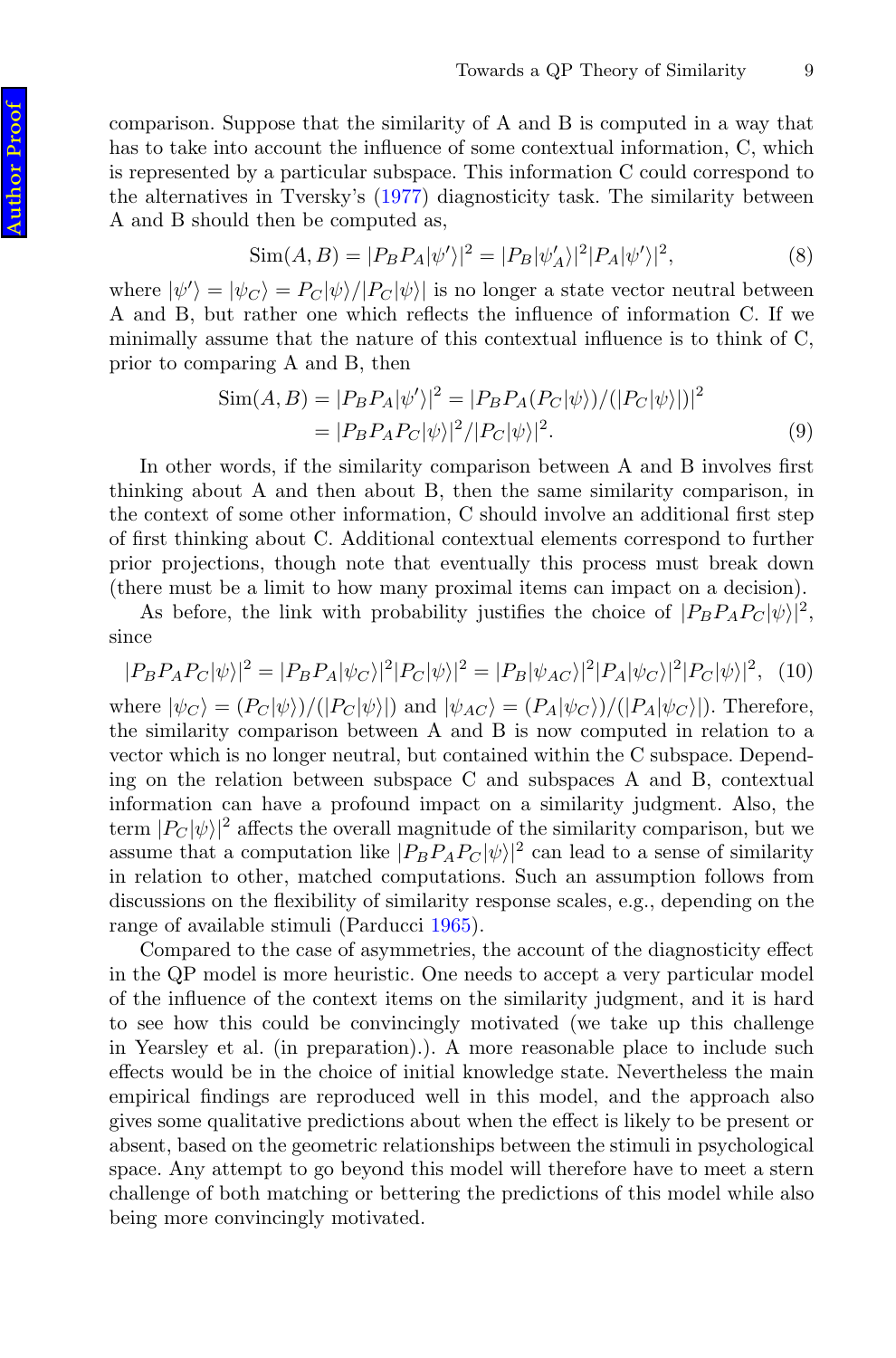comparison. Suppose that the similarity of A and B is computed in a way that has to take into account the influence of some contextual information, C, which is represented by a particular subspace. This information C could correspond to the alternatives in Tversky's [\(1977\)](#page-14-3) diagnosticity task. The similarity between A and B should then be computed as,

$$
\text{Sim}(A, B) = |P_B P_A |\psi'\rangle|^2 = |P_B |\psi'_A\rangle|^2 |P_A |\psi'\rangle|^2, \tag{8}
$$

where  $|\psi'\rangle = |\psi_C\rangle = P_C |\psi\rangle / |P_C |\psi\rangle|$  is no longer a state vector neutral between A and B, but rather one which reflects the influence of information C. If we minimally assume that the nature of this contextual influence is to think of C, prior to comparing A and B, then

$$
\begin{aligned} \text{Sim}(A, B) &= |P_B P_A |\psi'\rangle|^2 = |P_B P_A (P_C |\psi\rangle) / (|P_C |\psi\rangle|)^2 \\ &= |P_B P_A P_C |\psi\rangle|^2 / |P_C |\psi\rangle|^2. \end{aligned} \tag{9}
$$

In other words, if the similarity comparison between A and B involves first thinking about A and then about B, then the same similarity comparison, in the context of some other information, C should involve an additional first step of first thinking about C. Additional contextual elements correspond to further prior projections, though note that eventually this process must break down (there must be a limit to how many proximal items can impact on a decision).

As before, the link with probability justifies the choice of  $|P_B P_A P_C |\psi\rangle|^2$ , since

$$
|P_B P_A P_C |\psi\rangle|^2 = |P_B P_A |\psi_C\rangle|^2 |P_C |\psi\rangle|^2 = |P_B |\psi_{AC}\rangle|^2 |P_A |\psi_C\rangle|^2 |P_C |\psi\rangle|^2, \quad (10)
$$

where  $|\psi_C\rangle = (P_C|\psi\rangle)/(|P_C|\psi\rangle|)$  and  $|\psi_{AC}\rangle = (P_A|\psi_C\rangle)/(|P_A|\psi_C\rangle|)$ . Therefore, the similarity comparison between A and B is now computed in relation to a vector which is no longer neutral, but contained within the C subspace. Depending on the relation between subspace C and subspaces A and B, contextual information can have a profound impact on a similarity judgment. Also, the term  $|P_C|\psi\rangle|^2$  affects the overall magnitude of the similarity comparison, but we assume that a computation like  $|P_B P_A P_C |\psi\rangle|^2$  can lead to a sense of similarity in relation to other, matched computations. Such an assumption follows from discussions on the flexibility of similarity response scales, e.g., depending on the range of available stimuli (Parducci [1965](#page-14-15)).

Compared to the case of asymmetries, the account of the diagnosticity effect in the QP model is more heuristic. One needs to accept a very particular model of the influence of the context items on the similarity judgment, and it is hard to see how this could be convincingly motivated (we take up this challenge in Yearsley et al. (in preparation).). A more reasonable place to include such effects would be in the choice of initial knowledge state. Nevertheless the main empirical findings are reproduced well in this model, and the approach also gives some qualitative predictions about when the effect is likely to be present or absent, based on the geometric relationships between the stimuli in psychological space. Any attempt to go beyond this model will therefore have to meet a stern challenge of both matching or bettering the predictions of this model while also being more convincingly motivated.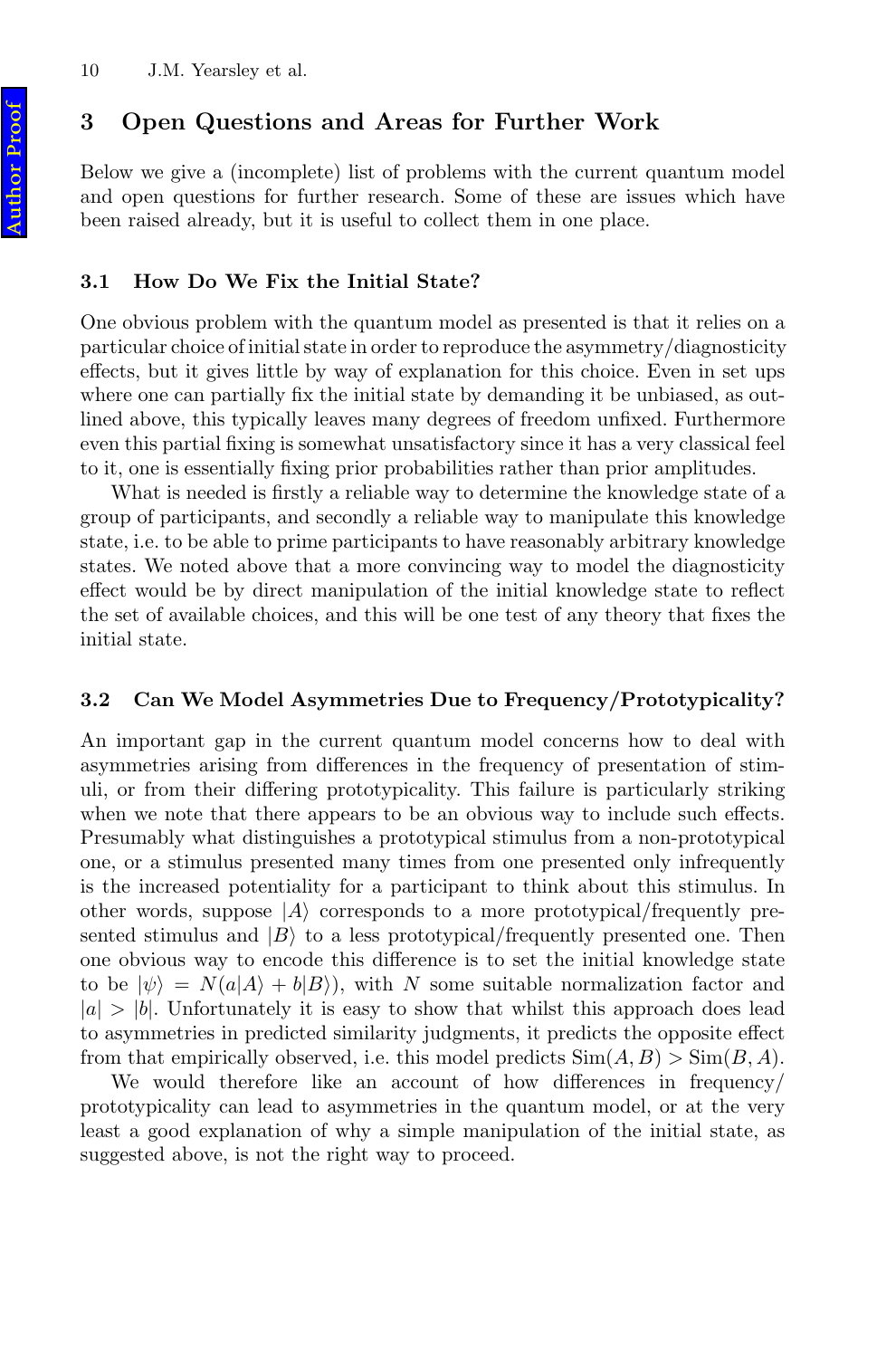# Author ProofAuthor Proof

# **3 Open Questions and Areas for Further Work**

Below we give a (incomplete) list of problems with the current quantum model and open questions for further research. Some of these are issues which have been raised already, but it is useful to collect them in one place.

# **3.1 How Do We Fix the Initial State?**

One obvious problem with the quantum model as presented is that it relies on a particular choice of initial state in order to reproduce the asymmetry/diagnosticity effects, but it gives little by way of explanation for this choice. Even in set ups where one can partially fix the initial state by demanding it be unbiased, as outlined above, this typically leaves many degrees of freedom unfixed. Furthermore even this partial fixing is somewhat unsatisfactory since it has a very classical feel to it, one is essentially fixing prior probabilities rather than prior amplitudes.

What is needed is firstly a reliable way to determine the knowledge state of a group of participants, and secondly a reliable way to manipulate this knowledge state, i.e. to be able to prime participants to have reasonably arbitrary knowledge states. We noted above that a more convincing way to model the diagnosticity effect would be by direct manipulation of the initial knowledge state to reflect the set of available choices, and this will be one test of any theory that fixes the initial state.

# **3.2 Can We Model Asymmetries Due to Frequency/Prototypicality?**

An important gap in the current quantum model concerns how to deal with asymmetries arising from differences in the frequency of presentation of stimuli, or from their differing prototypicality. This failure is particularly striking when we note that there appears to be an obvious way to include such effects. Presumably what distinguishes a prototypical stimulus from a non-prototypical one, or a stimulus presented many times from one presented only infrequently is the increased potentiality for a participant to think about this stimulus. In other words, suppose  $|A\rangle$  corresponds to a more prototypical/frequently presented stimulus and  $|B\rangle$  to a less prototypical/frequently presented one. Then one obvious way to encode this difference is to set the initial knowledge state to be  $|\psi\rangle = N(a|A\rangle + b|B\rangle)$ , with N some suitable normalization factor and  $|a| > |b|$ . Unfortunately it is easy to show that whilst this approach does lead to asymmetries in predicted similarity judgments, it predicts the opposite effect from that empirically observed, i.e. this model predicts  $\text{Sim}(A, B) > \text{Sim}(B, A)$ .

We would therefore like an account of how differences in frequency/ prototypicality can lead to asymmetries in the quantum model, or at the very least a good explanation of why a simple manipulation of the initial state, as suggested above, is not the right way to proceed.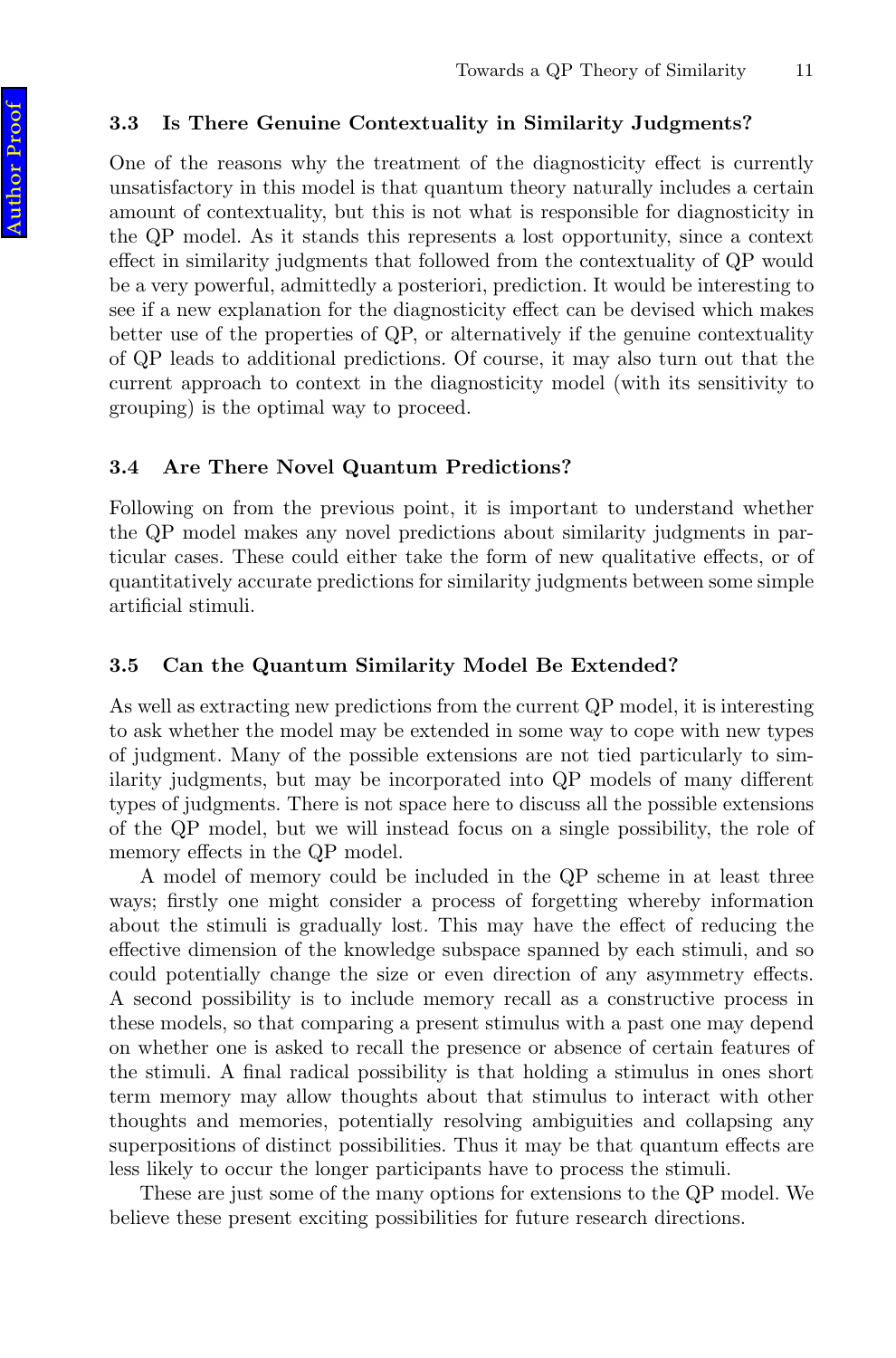#### **3.3 Is There Genuine Contextuality in Similarity Judgments?**

One of the reasons why the treatment of the diagnosticity effect is currently unsatisfactory in this model is that quantum theory naturally includes a certain amount of contextuality, but this is not what is responsible for diagnosticity in the QP model. As it stands this represents a lost opportunity, since a context effect in similarity judgments that followed from the contextuality of QP would be a very powerful, admittedly a posteriori, prediction. It would be interesting to see if a new explanation for the diagnosticity effect can be devised which makes better use of the properties of QP, or alternatively if the genuine contextuality of QP leads to additional predictions. Of course, it may also turn out that the current approach to context in the diagnosticity model (with its sensitivity to grouping) is the optimal way to proceed.

#### **3.4 Are There Novel Quantum Predictions?**

Following on from the previous point, it is important to understand whether the QP model makes any novel predictions about similarity judgments in particular cases. These could either take the form of new qualitative effects, or of quantitatively accurate predictions for similarity judgments between some simple artificial stimuli.

#### **3.5 Can the Quantum Similarity Model Be Extended?**

As well as extracting new predictions from the current QP model, it is interesting to ask whether the model may be extended in some way to cope with new types of judgment. Many of the possible extensions are not tied particularly to similarity judgments, but may be incorporated into QP models of many different types of judgments. There is not space here to discuss all the possible extensions of the QP model, but we will instead focus on a single possibility, the role of memory effects in the QP model.

A model of memory could be included in the QP scheme in at least three ways; firstly one might consider a process of forgetting whereby information about the stimuli is gradually lost. This may have the effect of reducing the effective dimension of the knowledge subspace spanned by each stimuli, and so could potentially change the size or even direction of any asymmetry effects. A second possibility is to include memory recall as a constructive process in these models, so that comparing a present stimulus with a past one may depend on whether one is asked to recall the presence or absence of certain features of the stimuli. A final radical possibility is that holding a stimulus in ones short term memory may allow thoughts about that stimulus to interact with other thoughts and memories, potentially resolving ambiguities and collapsing any superpositions of distinct possibilities. Thus it may be that quantum effects are less likely to occur the longer participants have to process the stimuli.

These are just some of the many options for extensions to the QP model. We believe these present exciting possibilities for future research directions.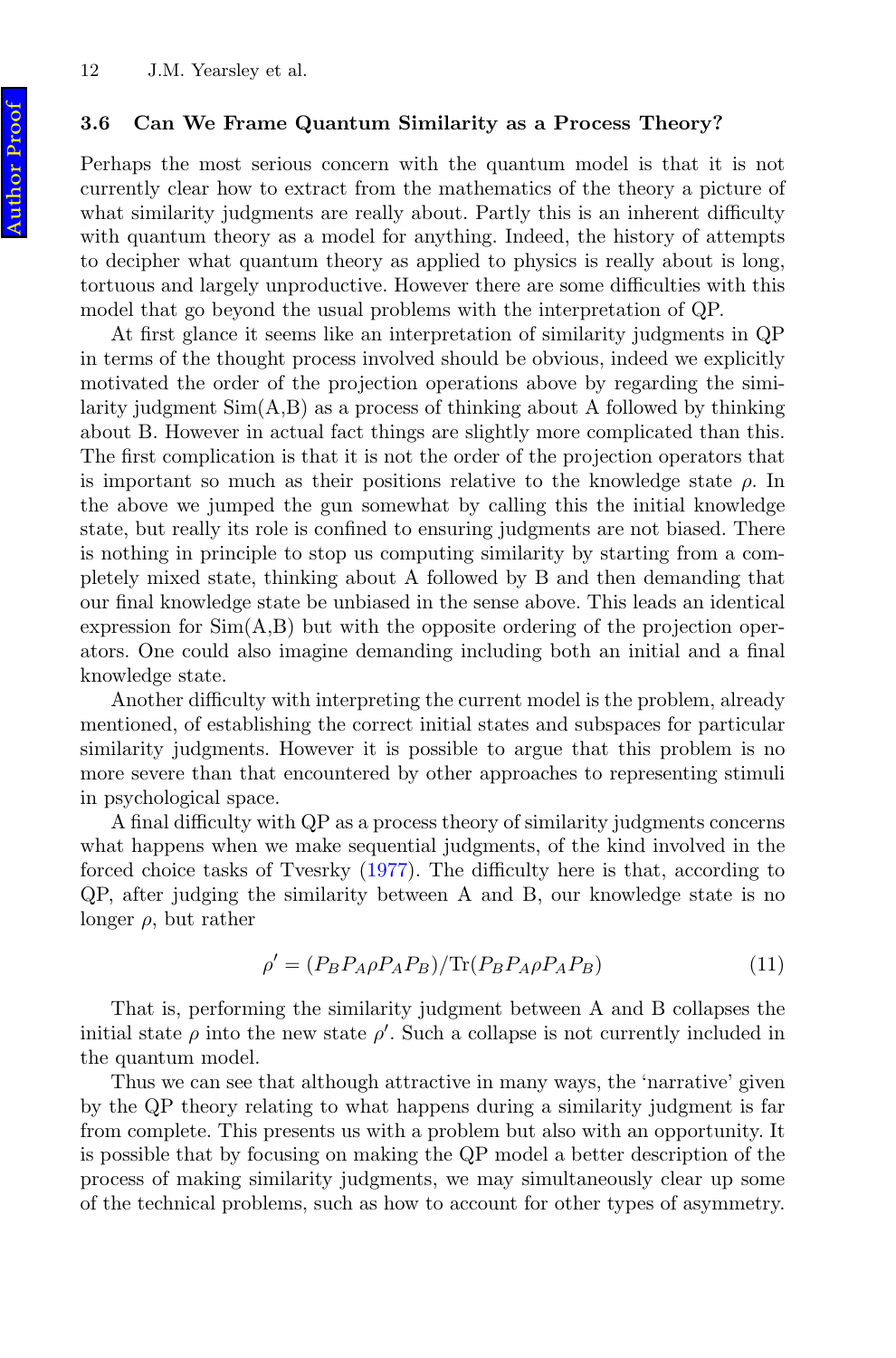#### **3.6 Can We Frame Quantum Similarity as a Process Theory?**

Perhaps the most serious concern with the quantum model is that it is not currently clear how to extract from the mathematics of the theory a picture of what similarity judgments are really about. Partly this is an inherent difficulty with quantum theory as a model for anything. Indeed, the history of attempts to decipher what quantum theory as applied to physics is really about is long, tortuous and largely unproductive. However there are some difficulties with this model that go beyond the usual problems with the interpretation of QP.

At first glance it seems like an interpretation of similarity judgments in QP in terms of the thought process involved should be obvious, indeed we explicitly motivated the order of the projection operations above by regarding the similarity judgment  $Sim(A,B)$  as a process of thinking about A followed by thinking about B. However in actual fact things are slightly more complicated than this. The first complication is that it is not the order of the projection operators that is important so much as their positions relative to the knowledge state  $\rho$ . In the above we jumped the gun somewhat by calling this the initial knowledge state, but really its role is confined to ensuring judgments are not biased. There is nothing in principle to stop us computing similarity by starting from a completely mixed state, thinking about A followed by B and then demanding that our final knowledge state be unbiased in the sense above. This leads an identical expression for  $Sim(A,B)$  but with the opposite ordering of the projection operators. One could also imagine demanding including both an initial and a final knowledge state.

Another difficulty with interpreting the current model is the problem, already mentioned, of establishing the correct initial states and subspaces for particular similarity judgments. However it is possible to argue that this problem is no more severe than that encountered by other approaches to representing stimuli in psychological space.

A final difficulty with QP as a process theory of similarity judgments concerns what happens when we make sequential judgments, of the kind involved in the forced choice tasks of Tvesrky [\(1977\)](#page-14-3). The difficulty here is that, according to QP, after judging the similarity between A and B, our knowledge state is no longer  $\rho$ , but rather

$$
\rho' = (P_B P_A \rho P_A P_B) / \text{Tr}(P_B P_A \rho P_A P_B)
$$
\n(11)

That is, performing the similarity judgment between A and B collapses the initial state  $\rho$  into the new state  $\rho'$ . Such a collapse is not currently included in the quantum model.

Thus we can see that although attractive in many ways, the 'narrative' given by the QP theory relating to what happens during a similarity judgment is far from complete. This presents us with a problem but also with an opportunity. It is possible that by focusing on making the QP model a better description of the process of making similarity judgments, we may simultaneously clear up some of the technical problems, such as how to account for other types of asymmetry.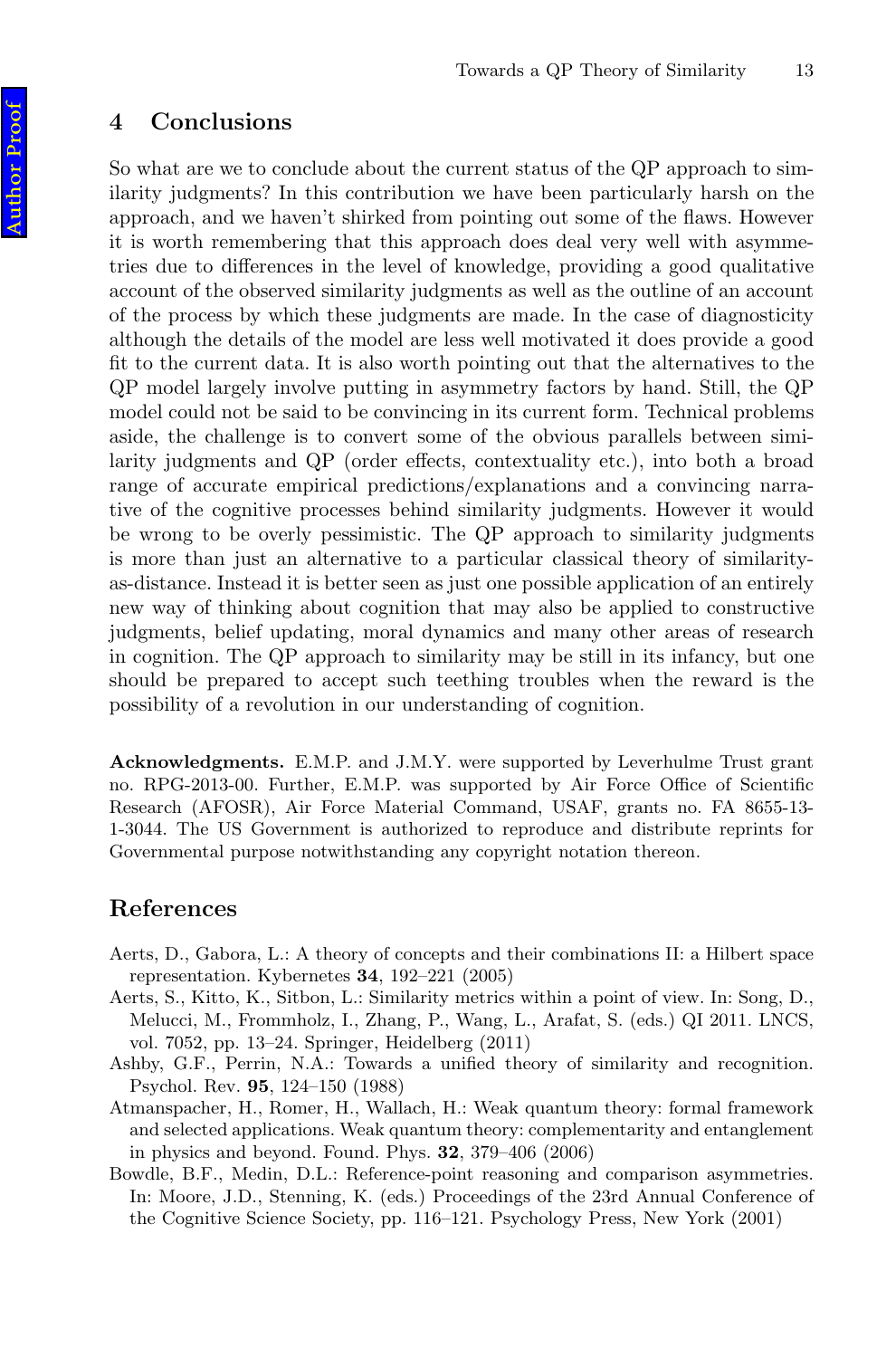## **4 Conclusions**

So what are we to conclude about the current status of the QP approach to similarity judgments? In this contribution we have been particularly harsh on the approach, and we haven't shirked from pointing out some of the flaws. However it is worth remembering that this approach does deal very well with asymmetries due to differences in the level of knowledge, providing a good qualitative account of the observed similarity judgments as well as the outline of an account of the process by which these judgments are made. In the case of diagnosticity although the details of the model are less well motivated it does provide a good fit to the current data. It is also worth pointing out that the alternatives to the QP model largely involve putting in asymmetry factors by hand. Still, the QP model could not be said to be convincing in its current form. Technical problems aside, the challenge is to convert some of the obvious parallels between similarity judgments and QP (order effects, contextuality etc.), into both a broad range of accurate empirical predictions/explanations and a convincing narrative of the cognitive processes behind similarity judgments. However it would be wrong to be overly pessimistic. The QP approach to similarity judgments is more than just an alternative to a particular classical theory of similarityas-distance. Instead it is better seen as just one possible application of an entirely new way of thinking about cognition that may also be applied to constructive judgments, belief updating, moral dynamics and many other areas of research in cognition. The QP approach to similarity may be still in its infancy, but one should be prepared to accept such teething troubles when the reward is the possibility of a revolution in our understanding of cognition.

**Acknowledgments.** E.M.P. and J.M.Y. were supported by Leverhulme Trust grant no. RPG-2013-00. Further, E.M.P. was supported by Air Force Office of Scientific Research (AFOSR), Air Force Material Command, USAF, grants no. FA 8655-13- 1-3044. The US Government is authorized to reproduce and distribute reprints for Governmental purpose notwithstanding any copyright notation thereon.

## **References**

- <span id="page-13-1"></span>Aerts, D., Gabora, L.: A theory of concepts and their combinations II: a Hilbert space representation. Kybernetes **34**, 192–221 (2005)
- <span id="page-13-4"></span>Aerts, S., Kitto, K., Sitbon, L.: Similarity metrics within a point of view. In: Song, D., Melucci, M., Frommholz, I., Zhang, P., Wang, L., Arafat, S. (eds.) QI 2011. LNCS, vol. 7052, pp. 13–24. Springer, Heidelberg (2011)
- <span id="page-13-3"></span>Ashby, G.F., Perrin, N.A.: Towards a unified theory of similarity and recognition. Psychol. Rev. **95**, 124–150 (1988)
- <span id="page-13-2"></span>Atmanspacher, H., Romer, H., Wallach, H.: Weak quantum theory: formal framework and selected applications. Weak quantum theory: complementarity and entanglement in physics and beyond. Found. Phys. **32**, 379–406 (2006)
- <span id="page-13-0"></span>Bowdle, B.F., Medin, D.L.: Reference-point reasoning and comparison asymmetries. In: Moore, J.D., Stenning, K. (eds.) Proceedings of the 23rd Annual Conference of the Cognitive Science Society, pp. 116–121. Psychology Press, New York (2001)